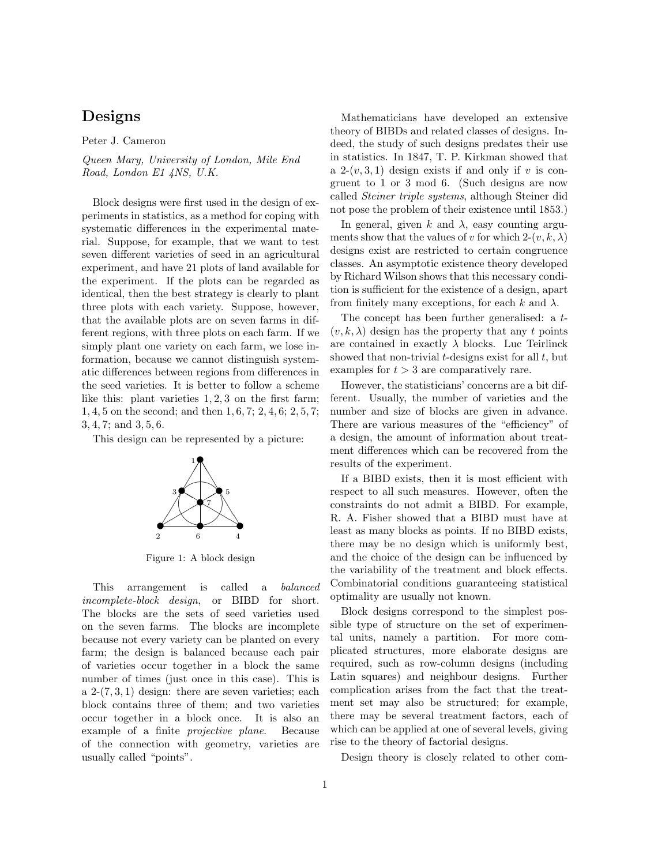## Designs

Peter J. Cameron

Queen Mary, University of London, Mile End Road, London E1 4NS, U.K.

Block designs were first used in the design of experiments in statistics, as a method for coping with systematic differences in the experimental material. Suppose, for example, that we want to test seven different varieties of seed in an agricultural experiment, and have 21 plots of land available for the experiment. If the plots can be regarded as identical, then the best strategy is clearly to plant three plots with each variety. Suppose, however, that the available plots are on seven farms in different regions, with three plots on each farm. If we simply plant one variety on each farm, we lose information, because we cannot distinguish systematic differences between regions from differences in the seed varieties. It is better to follow a scheme like this: plant varieties 1, 2, 3 on the first farm; 1, 4, 5 on the second; and then 1, 6, 7; 2, 4, 6; 2, 5, 7; 3, 4, 7; and 3, 5, 6.

This design can be represented by a picture:



Figure 1: A block design

This arrangement is called a balanced incomplete-block design, or BIBD for short. The blocks are the sets of seed varieties used on the seven farms. The blocks are incomplete because not every variety can be planted on every farm; the design is balanced because each pair of varieties occur together in a block the same number of times (just once in this case). This is a 2-(7, 3, 1) design: there are seven varieties; each block contains three of them; and two varieties occur together in a block once. It is also an example of a finite projective plane. Because of the connection with geometry, varieties are usually called "points".

Mathematicians have developed an extensive theory of BIBDs and related classes of designs. Indeed, the study of such designs predates their use in statistics. In 1847, T. P. Kirkman showed that a  $2-(v,3,1)$  design exists if and only if v is congruent to 1 or 3 mod 6. (Such designs are now called Steiner triple systems, although Steiner did not pose the problem of their existence until 1853.)

In general, given k and  $\lambda$ , easy counting arguments show that the values of v for which  $2-(v, k, \lambda)$ designs exist are restricted to certain congruence classes. An asymptotic existence theory developed by Richard Wilson shows that this necessary condition is sufficient for the existence of a design, apart from finitely many exceptions, for each k and  $\lambda$ .

The concept has been further generalised: a t-  $(v, k, \lambda)$  design has the property that any t points are contained in exactly  $\lambda$  blocks. Luc Teirlinck showed that non-trivial  $t$ -designs exist for all  $t$ , but examples for  $t > 3$  are comparatively rare.

However, the statisticians' concerns are a bit different. Usually, the number of varieties and the number and size of blocks are given in advance. There are various measures of the "efficiency" of a design, the amount of information about treatment differences which can be recovered from the results of the experiment.

If a BIBD exists, then it is most efficient with respect to all such measures. However, often the constraints do not admit a BIBD. For example, R. A. Fisher showed that a BIBD must have at least as many blocks as points. If no BIBD exists, there may be no design which is uniformly best, and the choice of the design can be influenced by the variability of the treatment and block effects. Combinatorial conditions guaranteeing statistical optimality are usually not known.

Block designs correspond to the simplest possible type of structure on the set of experimental units, namely a partition. For more complicated structures, more elaborate designs are required, such as row-column designs (including Latin squares) and neighbour designs. Further complication arises from the fact that the treatment set may also be structured; for example, there may be several treatment factors, each of which can be applied at one of several levels, giving rise to the theory of factorial designs.

Design theory is closely related to other com-